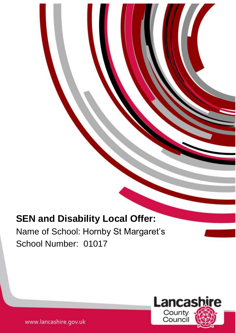# **SEN and Disability Local Offer:**

Name of School: Hornby St Margaret's School Number: 01017

1



www.lancashire.gov.uk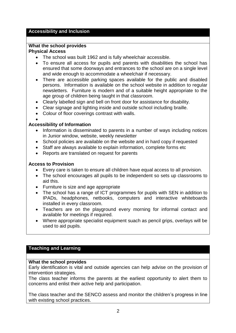# **Accessibility and Inclusion**

#### **What the school provides Physical Access**

- The school was built 1962 and is fully wheelchair accessible.
- To ensure all access for pupils and parents with disabilities the school has ensured that some doorways and entrances to the school are on a single level and wide enough to accommodate a wheelchair if necessary.
- There are accessible parking spaces available for the public and disabled persons. Information is available on the school website in addition to regular newsletters. Furniture is modern and of a suitable height appropriate to the age group of children being taught in that classroom.
- Clearly labelled sign and bell on front door for assistance for disability.
- Clear signage and lighting inside and outside school including braille.
- Colour of floor coverings contrast with walls.

#### $\bullet$ **Accessibility of Information**

- Information is disseminated to parents in a number of ways including notices in Junior window, website, weekly newsletter
- School policies are available on the website and in hard copy if requested
- Staff are always available to explain information, complete forms etc
- Reports are translated on request for parents

## **Access to Provision**

- Every care is taken to ensure all children have equal access to all provision.
- The school encourages all pupils to be independent so sets up classrooms to aid this.
- Furniture is size and age appropriate
- The school has a range of ICT programmes for pupils with SEN in addition to IPADs, headphones, netbooks, computers and interactive whiteboards installed in every classroom.
- Teachers are on the playground every morning for informal contact and available for meetings if required.
- Where appropriate specialist equipment suach as pencil grips, overlays will be used to aid pupils.

# **Teaching and Learning**

#### **What the school provides**

Early identification is vital and outside agencies can help advise on the provision of intervention strategies.

The class teacher informs the parents at the earliest opportunity to alert them to concerns and enlist their active help and participation.

The class teacher and the SENCO assess and monitor the children's progress in line with existing school practices.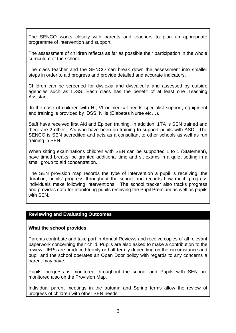The SENCO works closely with parents and teachers to plan an appropriate programme of intervention and support.

The assessment of children reflects as far as possible their participation in the whole curriculum of the school.

The class teacher and the SENCO can break down the assessment into smaller steps in order to aid progress and provide detailed and accurate indicators.

Children can be screened for dyslexia and dyscalculia and assessed by outside agencies such as IDSS. Each class has the benefit of at least one Teaching Assistant.

In the case of children with HI, VI or medical needs specialist support, equipment and training is provided by IDSS, NHs (Diabetes Nurse etc…).

Staff have received first Aid and Epipen training. In addition, 1TA is SEN trained and there are 2 other TA's who have been on training to support pupils with ASD. The SENCO is SEN accredited and acts as a consultant to other schools as well as run training in SEN.

When sitting examinations children with SEN can be supported 1 to 1 (Statement), have timed breaks, be granted additional time and sit exams in a quiet setting in a small group to aid concentration.

The SEN provision map records the type of intervention a pupil is receiving, the duration, pupils' progress throughout the school and records how much progress individuals make following interventions. The school tracker also tracks progress and provides data for monitoring pupils receiving the Pupil Premium as well as pupils with SEN.

# **Reviewing and Evaluating Outcomes**

#### **What the school provides**

Parents contribute and take part in Annual Reviews and receive copies of all relevant paperwork concerning their child. Pupils are also asked to make a contribution to the review. IEPs are produced termly or half termly depending on the circumstance and pupil and the school operates an Open Door policy with regards to any concerns a parent may have.

Pupils' progress is monitored throughout the school and Pupils with SEN are monitored also on the Provision Map.

Individual parent meetings in the autumn and Spring terms allow the review of progress of children with other SEN needs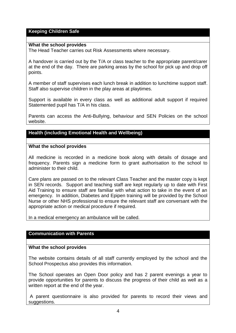# **Keeping Children Safe**

#### **What the school provides**

The Head Teacher carries out Risk Assessments where necessary.

A handover is carried out by the T/A or class teacher to the appropriate parent/carer at the end of the day. There are parking areas by the school for pick up and drop off points.

A member of staff supervises each lunch break in addition to lunchtime support staff. Staff also supervise children in the play areas at playtimes.

Support is available in every class as well as additional adult support if required Statemented pupil has T/A in his class.

Parents can access the Anti-Bullying, behaviour and SEN Policies on the school website.

# **Health (including Emotional Health and Wellbeing)**

## **What the school provides**

All medicine is recorded in a medicine book along with details of dosage and frequency. Parents sign a medicine form to grant authorisation to the school to administer to their child.

Care plans are passed on to the relevant Class Teacher and the master copy is kept in SEN records. Support and teaching staff are kept regularly up to date with First Aid Training to ensure staff are familiar with what action to take in the event of an emergency. In addition, Diabetes and Epipen training will be provided by the School Nurse or other NHS professional to ensure the relevant staff are conversant with the appropriate action or medical procedure if required.

In a medical emergency an ambulance will be called.

#### **Communication with Parents**

#### **What the school provides**

The website contains details of all staff currently employed by the school and the School Prospectus also provides this information.

The School operates an Open Door policy and has 2 parent evenings a year to provide opportunities for parents to discuss the progress of their child as well as a written report at the end of the year.

A parent questionnaire is also provided for parents to record their views and suggestions.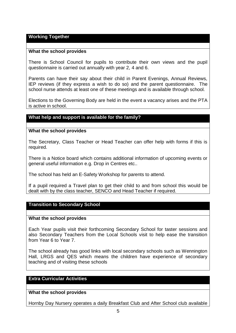#### **Working Together**

#### **What the school provides**

There is School Council for pupils to contribute their own views and the pupil questionnaire is carried out annually with year 2, 4 and 6.

Parents can have their say about their child in Parent Evenings, Annual Reviews, IEP reviews (if they express a wish to do so) and the parent questionnaire. The school nurse attends at least one of these meetings and is available through school.

Elections to the Governing Body are held in the event a vacancy arises and the PTA is active in school.

#### **What help and support is available for the family?**

#### **What the school provides**

The Secretary, Class Teacher or Head Teacher can offer help with forms if this is required.

There is a Notice board which contains additional information of upcoming events or general useful information e.g. Drop in Centres etc..

The school has held an E-Safety Workshop for parents to attend.

If a pupil required a Travel plan to get their child to and from school this would be dealt with by the class teacher, SENCO and Head Teacher if required.

#### **Transition to Secondary School**

#### **What the school provides**

Each Year pupils visit their forthcoming Secondary School for taster sessions and also Secondary Teachers from the Local Schools visit to help ease the transition from Year 6 to Year 7.

The school already has good links with local secondary schools such as Wennington Hall, LRGS and QES which means the children have experience of secondary teaching and of visiting these schools

# **Extra Curricular Activities**

**What the school provides**

Hornby Day Nursery operates a daily Breakfast Club and After School club available